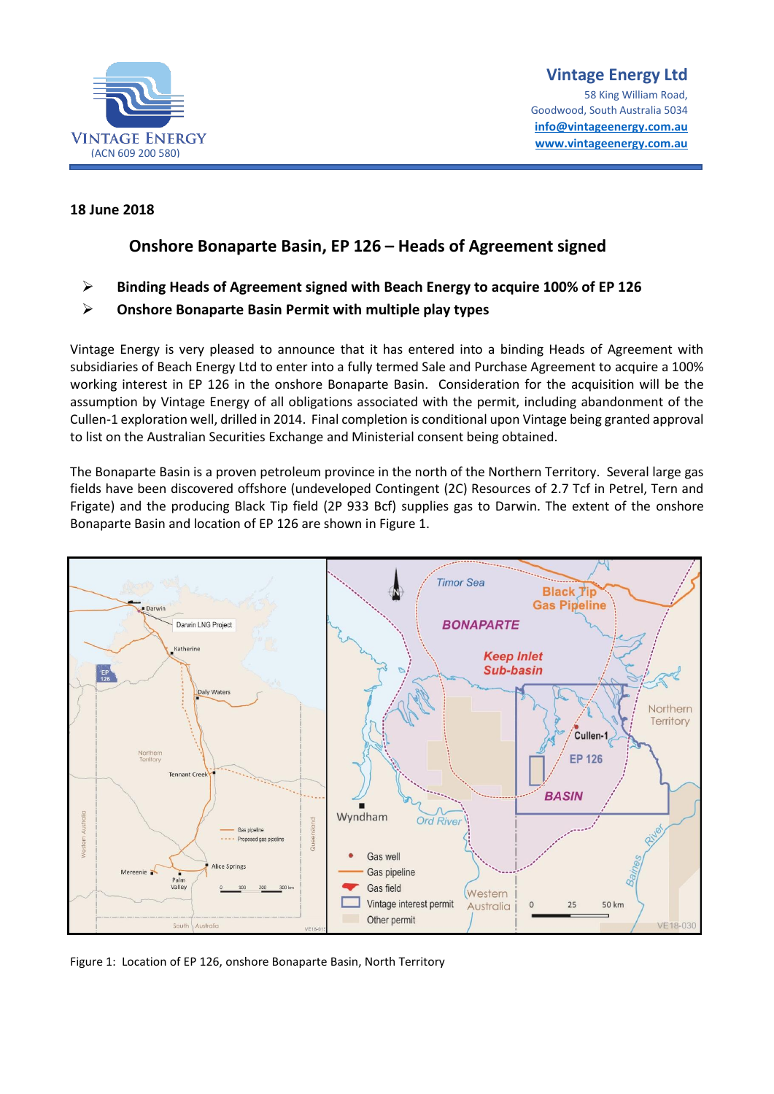

### **18 June 2018**

# **Onshore Bonaparte Basin, EP 126 – Heads of Agreement signed**

➢ **Binding Heads of Agreement signed with Beach Energy to acquire 100% of EP 126**

## ➢ **Onshore Bonaparte Basin Permit with multiple play types**

Vintage Energy is very pleased to announce that it has entered into a binding Heads of Agreement with subsidiaries of Beach Energy Ltd to enter into a fully termed Sale and Purchase Agreement to acquire a 100% working interest in EP 126 in the onshore Bonaparte Basin. Consideration for the acquisition will be the assumption by Vintage Energy of all obligations associated with the permit, including abandonment of the Cullen-1 exploration well, drilled in 2014. Final completion is conditional upon Vintage being granted approval to list on the Australian Securities Exchange and Ministerial consent being obtained.

The Bonaparte Basin is a proven petroleum province in the north of the Northern Territory. Several large gas fields have been discovered offshore (undeveloped Contingent (2C) Resources of 2.7 Tcf in Petrel, Tern and Frigate) and the producing Black Tip field (2P 933 Bcf) supplies gas to Darwin. The extent of the onshore Bonaparte Basin and location of EP 126 are shown in Figure 1.



Figure 1: Location of EP 126, onshore Bonaparte Basin, North Territory